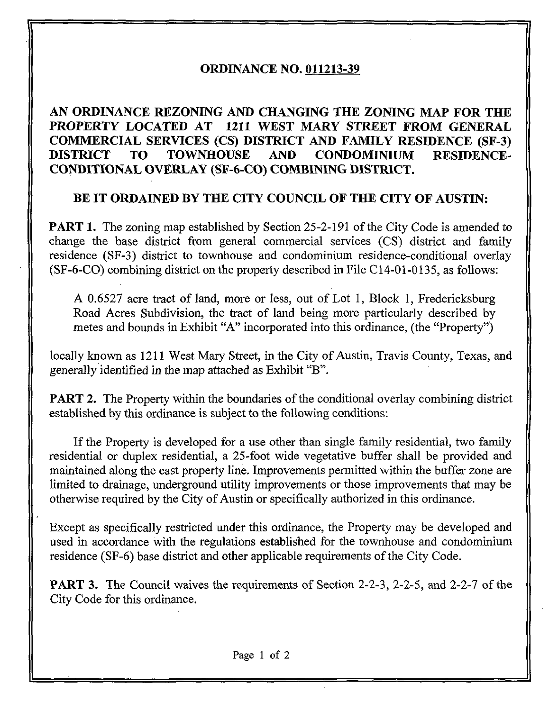### ORDINANCE NO, 011213-39

# AN ORDINANCE REZONING AND CHANGING THE ZONING MAP FOR THE PROPERTY LOCATED AT 1211 WEST MARY STREET FROM GENERAL COMMERCIAL SERVICES (CS) DISTRICT AND FAMILY RESIDENCE (SF-3) DISTRICT TO TOWNHOUSE AND CONDOMINIUM RESIDENCE-CONDITIONAL OVERLAY (SF-6-CO) COMBINING DISTRICT.

### BE IT ORDAINED BY THE CITY COUNCIL OF THE CITY OF AUSTIN:

**PART 1.** The zoning map established by Section 25-2-191 of the City Code is amended to change the base district from general commercial services (CS) district and family residence (SF-3) district to townhouse and condominium residence-conditional overlay (SF-6-CO) combining district on the property described in File C14-01-0135, as follows:

A 0.6527 acre tract of land, more or less, out of Lot 1, Block 1, Fredericksburg Road Acres Subdivision, the tract of land being more particularly described by metes and bounds in Exhibit "A" incorporated into this ordinance, (the "Property")

locally known as 1211 West Mary Street, in the City of Austin, Travis County, Texas, and generally identified in the map attached as Exhibit "B".

**PART 2.** The Property within the boundaries of the conditional overlay combining district established by this ordinance is subject to the following conditions:

If the Property is developed for a use other than single family residential, two family residential or duplex residential, a 25-foot wide vegetative buffer shall be provided and maintained along the east property line. Improvements permitted within the buffer zone are limited to drainage, underground utility improvements or those improvements that may be otherwise required by the City of Austin or specifically authorized in this ordinance.

Except as specifically restricted under this ordinance, the Property may be developed and used in accordance with the regulations established for the townhouse and condominium residence (SF-6) base district and other applicable requirements of the City Code.

PART 3. The Council waives the requirements of Section 2-2-3, 2-2-5, and 2-2-7 of the City Code for this ordinance.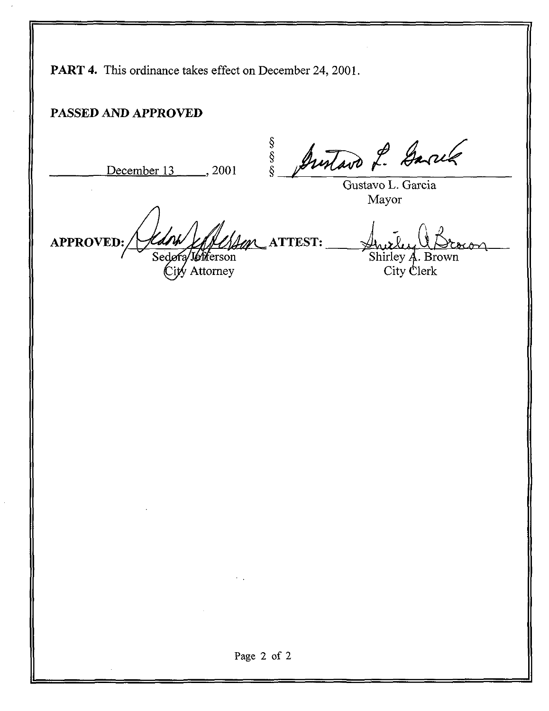PART 4. This ordinance takes effect on December 24, 2001.

## PASSED AND APPROVED

 $\frac{\$}{\$}$ <br>December 13 2001  $\frac{\$}{\$}$ Justavo L. Garré Gustavo L. Garcia Mayor APPROVED: ^^L, ATTEST; Sedora Shirley A. Brown 'Jefferson City Clerk Attorney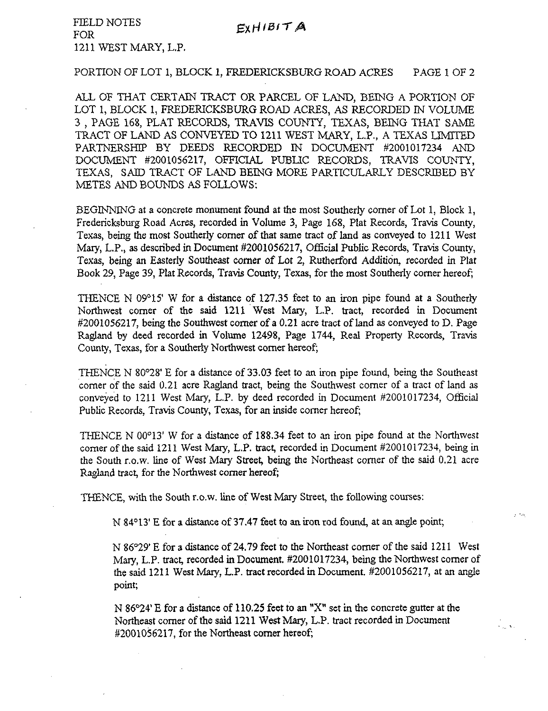FIELD NOTES **FOR** 1211 WEST MARY, L.P.

#### PORTION OF LOT 1, BLOCK 1, FREDERICKSBURG ROAD ACRES PAGE 1 OF 2

ALL OF THAT CERTAIN TRACT OR PARCEL OF LAND, BEING A PORTION OF LOT 1, BLOCK 1, FREDERICKSBURG ROAD ACRES, AS RECORDED IN VOLUME 3 , PAGE 168, PLAT RECORDS, TRAVIS COUNTY, TEXAS, BEING THAT SAME TRACT OF LAND AS CONVEYED TO 1211 WEST MARY, L.P., A TEXAS LIMITED PARTNERSHIP BY DEEDS RECORDED IN DOCUMENT #2001017234 AND DOCUMENT #2001056217, OFFICIAL PUBIIC RECORDS, TRAVIS COUNTY, TEXAS, SAID TRACT OF LAND BEING MORE PARTICULARLY DESCRIBED BY METES AND BOUNDS AS FOLLOWS:

BEGINNING at a concrete monument found at the most Southerly corner of Lot 1, Block 1, Fredericksburg Road Acres, recorded in Volume 3, Page 168, Plat Records, Travis County, Texas, being the most Southerly comer of that same tract of land as conveyed to 1211 West Mary, L.P., as described in Document #2001056217, Official Public Records, Travis County, Texas, being an Easterly Southeast corner of Lot 2, Rutherford Addition, recorded in Plat Book 29, Page 39, Plat Records, Travis County, Texas, for the most Southerly corner hereof;

THENCE N 09°15' W for a distance of 127.35 feet to an iron pipe found at a Southerly Northwest corner of the said 1211 West Mary, L.P. tract, recorded in Document #2001056217, being the Southwest corner of a 0.21 acre tract of land as conveyed to D. Page Ragland by deed recorded in Volume 12498, Page 1744, Real Property Records, Travis County, Texas, for a Southerly Northwest comer hereof;

THENCE N 80°28' E for a distance of 33.03 feet to an iron pipe found, being the Southeast corner of the said 0.21 acre Ragland tract, being the Southwest corner of a tract of land as conveyed to 1211 West Mary, L.P. by deed recorded in Document #2001017234, Official Public Records, Travis County, Texas, for an inside corner hereof;

THENCE N 00°13' W for a distance of 188.34 feet to an iron pipe found at the Northwest corner of the said 1211 West Mary, L.P. tract, recorded in Document #2001017234, being in the South r.o.w. line of West Mary Street, being the Northeast corner of the said 0.21 acre Ragland tract, for the Northwest comer hereof;

THENCE, with the South r.o.w. line of West Mary Street, the following courses:

N 84°13'E for a distance of 37.47 feet to an iron rod found, at an angle point;

N 86°29' E for a distance of 24.79 feet to the Northeast corner of the said 1211 West Mary, L.P. tract, recorded in Document. #2001017234, being the Northwest comer of the said 1211 West Mary, L.P. tract recorded in Document. #2001056217, at an angle point;

 $\sim$   $\sim$ 

 $\epsilon_{\rm{tot}}$  w.

N 86°24' E for a distance of 110.25 feet to an "X" set in the concrete gutter at the Northeast corner of the said 1211 West Mary, L.P. tract recorded in Document #2001056217, for the Northeast comer hereof;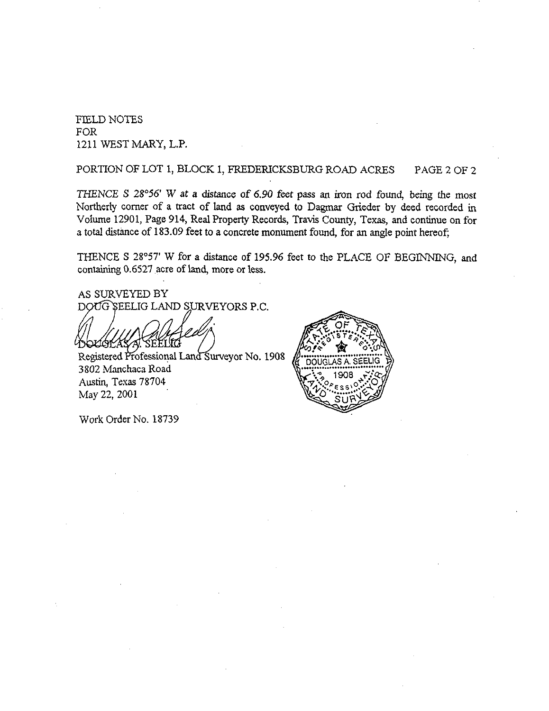HELD NOTES FOR 1211 WEST MARY, L.P.

PORTION OF LOT 1, BLOCK 1, FREDERICKSBURG ROAD ACRES PAGE 2 OF 2

THENCE S 28°56' W at a distance of 6.90 feet pass an iron rod found, being the most Northerly corner of a tract of land as conveyed to Dagmar Grieder by deed recorded in Volume 12901, Page 914, Real Property Records, Travis County, Texas, and continue on for a total distance of 183.09 feet to a concrete monument found, for an angle point hereof;

THENCE S 28°57' W for a distance of 195.96 feet to the PLACE OF BEGINNING, and containing 0.6527 acre of land, more or less.

AS SURVEYED BY DOUG SEELIG LAND SURVEYORS P.C.

Registered Professional Land Surveyor No. 1908 3802 Manchaca Road Austin, Texas 78704 May 22, 2001



Work Order No. 18739